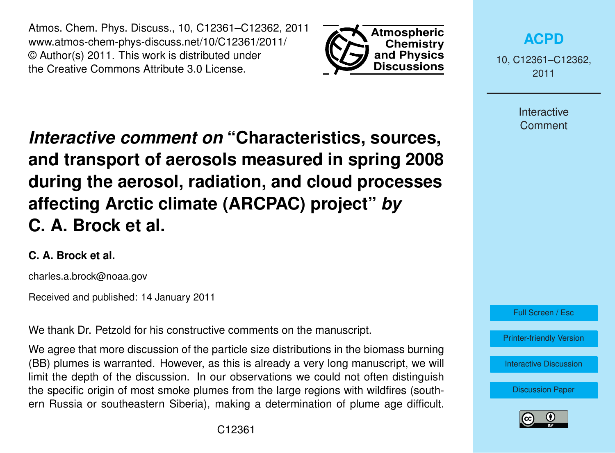Atmos. Chem. Phys. Discuss., 10, C12361–C12362, 2011 www.atmos-chem-phys-discuss.net/10/C12361/2011/ © Author(s) 2011. This work is distributed under the Creative Commons Attribute 3.0 License.



**[ACPD](http://www.atmos-chem-phys-discuss.net)**

10, C12361–C12362, 2011

> **Interactive Comment**

*Interactive comment on* **"Characteristics, sources, and transport of aerosols measured in spring 2008 during the aerosol, radiation, and cloud processes affecting Arctic climate (ARCPAC) project"** *by* **C. A. Brock et al.**

## **C. A. Brock et al.**

charles.a.brock@noaa.gov

Received and published: 14 January 2011

We thank Dr. Petzold for his constructive comments on the manuscript.

We agree that more discussion of the particle size distributions in the biomass burning (BB) plumes is warranted. However, as this is already a very long manuscript, we will limit the depth of the discussion. In our observations we could not often distinguish the specific origin of most smoke plumes from the large regions with wildfires (southern Russia or southeastern Siberia), making a determination of plume age difficult.



[Printer-friendly Version](http://www.atmos-chem-phys-discuss.net/10/C12361/2011/acpd-10-C12361-2011-print.pdf)

[Interactive Discussion](http://www.atmos-chem-phys-discuss.net/10/27361/2010/acpd-10-27361-2010-discussion.html)

[Discussion Paper](http://www.atmos-chem-phys-discuss.net/10/27361/2010/acpd-10-27361-2010.pdf)